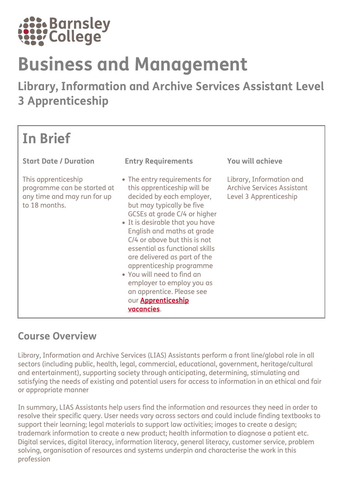

# Business and Management

Library, Information and Archive Services Assistant Level 3 Apprenticeship

| <b>In Brief</b>                                                                                    |                                                                                                                                                                                                                                                                                                                                                                                                                                                                                         |                                                                                  |
|----------------------------------------------------------------------------------------------------|-----------------------------------------------------------------------------------------------------------------------------------------------------------------------------------------------------------------------------------------------------------------------------------------------------------------------------------------------------------------------------------------------------------------------------------------------------------------------------------------|----------------------------------------------------------------------------------|
| <b>Start Date / Duration</b>                                                                       | <b>Entry Requirements</b>                                                                                                                                                                                                                                                                                                                                                                                                                                                               | You will achieve                                                                 |
| This apprenticeship<br>programme can be started at<br>any time and may run for up<br>to 18 months. | • The entry requirements for<br>this apprenticeship will be<br>decided by each employer,<br>but may typically be five<br>GCSEs at grade C/4 or higher<br>• It is desirable that you have<br>English and maths at grade<br>C/4 or above but this is not<br>essential as functional skills<br>are delivered as part of the<br>apprenticeship programme<br>• You will need to find an<br>employer to employ you as<br>an apprentice. Please see<br>our <b>Apprenticeship</b><br>vacancies. | Library, Information and<br>Archive Services Assistant<br>Level 3 Apprenticeship |

## Course Overview

Library, Information and Archive Services (LIAS) Assistants perform a front line/global role in all sectors (including public, health, legal, commercial, educational, government, heritage/cultural and entertainment), supporting society through anticipating, determining, stimulating and satisfying the needs of existing and potential users for access to information in an ethical and fair or appropriate manner

In summary, LIAS Assistants help users find the information and resources they need in order to resolve their specific query. User needs vary across sectors and could include finding textbooks to support their learning; legal materials to support law activities; images to create a design; trademark information to create a new product; health information to diagnose a patient etc. Digital services, digital literacy, information literacy, general literacy, customer service, problem solving, organisation of resources and systems underpin and characterise the work in this profession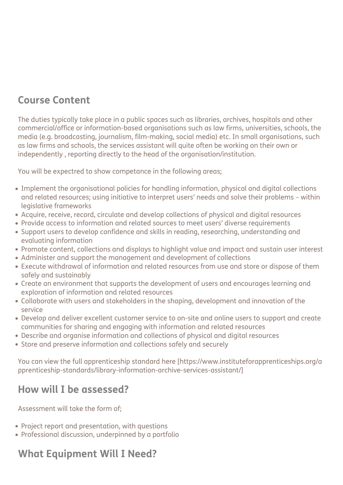# Course Content

The duties typically take place in a public spaces such as libraries, archives, hospitals and other commercial/office or information-based organisations such as law firms, universities, schools, the media (e.g. broadcasting, journalism, film-making, social media) etc. In small organisations, such as law firms and schools, the services assistant will quite often be working on their own or independently , reporting directly to the head of the organisation/institution.

You will be expectred to show competance in the following areas;

- Implement the organisational policies for handling information, physical and digital collections and related resources; using initiative to interpret users' needs and solve their problems – within legislative frameworks
- Acquire, receive, record, circulate and develop collections of physical and digital resources
- Provide access to information and related sources to meet users' diverse requirements
- Support users to develop confidence and skills in reading, researching, understanding and evaluating information
- Promote content, collections and displays to highlight value and impact and sustain user interest
- Administer and support the management and development of collections
- Execute withdrawal of information and related resources from use and store or dispose of them safely and sustainably
- Create an environment that supports the development of users and encourages learning and exploration of information and related resources
- Collaborate with users and stakeholders in the shaping, development and innovation of the service
- Develop and deliver excellent customer service to on-site and online users to support and create communities for sharing and engaging with information and related resources
- Describe and organise information and collections of physical and digital resources
- Store and preserve information and collections safely and securely

You can view the full apprenticeship standard here [https://www.instituteforapprenticeships.org/a pprenticeship-standards/library-information-archive-services-assistant/]

## How will I be assessed?

Assessment will take the form of;

- Project report and presentation, with questions
- Professional discussion, underpinned by a portfolio

# What Equipment Will I Need?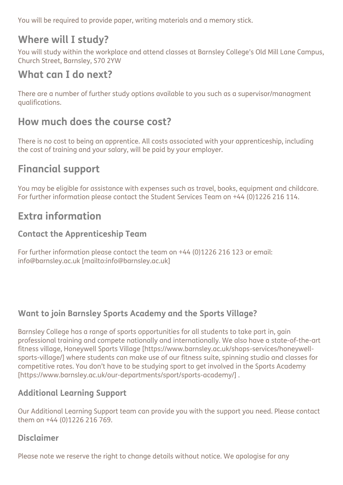You will be required to provide paper, writing materials and a memory stick.

# Where will I study?

You will study within the workplace and attend classes at Barnsley College's Old Mill Lane Campus, Church Street, Barnsley, S70 2YW

## What can I do next?

There are a number of further study options available to you such as a supervisor/managment qualifications.

# How much does the course cost?

There is no cost to being an apprentice. All costs associated with your apprenticeship, including the cost of training and your salary, will be paid by your employer.

# Financial support

You may be eligible for assistance with expenses such as travel, books, equipment and childcare. For further information please contact the Student Services Team on +44 (0)1226 216 114.

# Extra information

#### Contact the Apprenticeship Team

For further information please contact the team on +44 (0)1226 216 123 or email: info@barnsley.ac.uk [mailto:info@barnsley.ac.uk]

#### Want to join Barnsley Sports Academy and the Sports Village?

Barnsley College has a range of sports opportunities for all students to take part in, gain professional training and compete nationally and internationally. We also have a state-of-the-art fitness village, Honeywell Sports Village [https://www.barnsley.ac.uk/shops-services/honeywellsports-village/] where students can make use of our fitness suite, spinning studio and classes for competitive rates. You don't have to be studying sport to get involved in the Sports Academy [https://www.barnsley.ac.uk/our-departments/sport/sports-academy/] .

#### Additional Learning Support

Our Additional Learning Support team can provide you with the support you need. Please contact them on +44 (0)1226 216 769.

#### Disclaimer

Please note we reserve the right to change details without notice. We apologise for any